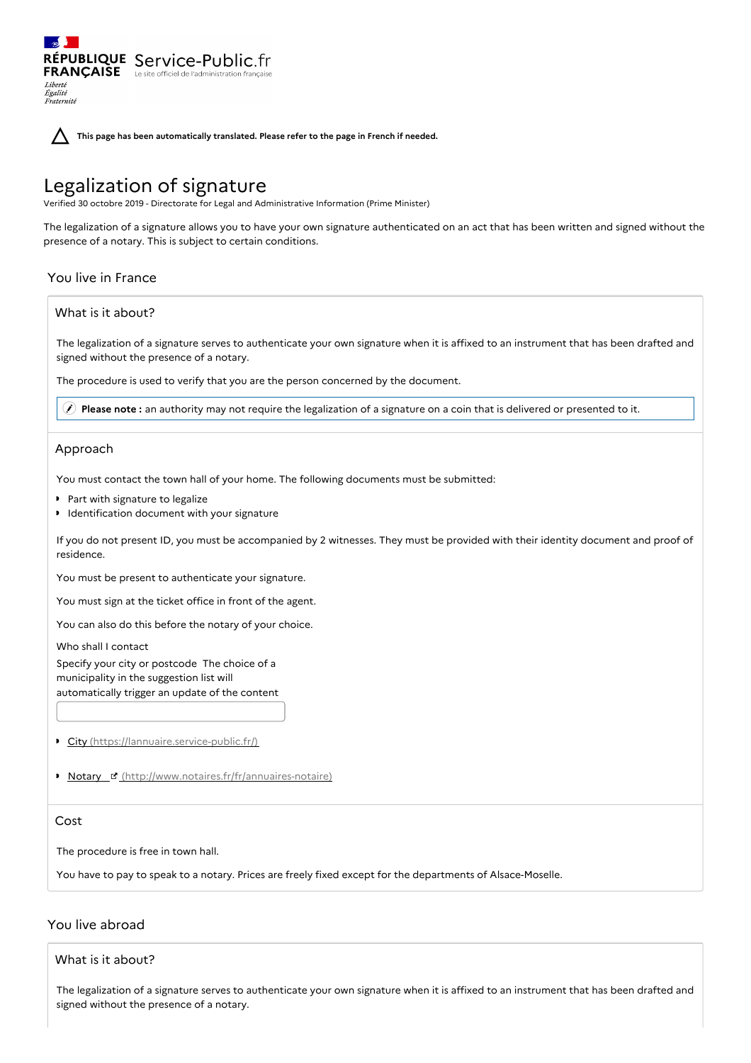**This page has been automatically translated. Please refer to the page in French if needed.**

# Legalization of signature

RÉPUBLIQUE Service-Public.fr **FRANÇAISE** Le site officiel de l'administration fran

Verified 30 octobre 2019 - Directorate for Legal and Administrative Information (Prime Minister)

The legalization of a signature allows you to have your own signature authenticated on an act that has been written and signed without the presence of a notary. This is subject to certain conditions.

## You live in France

Liberté Égalité<br>Fraternité

## What is it about?

The legalization of a signature serves to authenticate your own signature when it is affixed to an instrument that has been drafted and signed without the presence of a notary.

The procedure is used to verify that you are the person concerned by the document.

**Please note :** an authority may not require the legalization of a signature on a coin that is delivered or presented to it.

## Approach

You must contact the town hall of your home. The following documents must be submitted:

- **P** Part with signature to legalize
- **I** Identification document with your signature

If you do not present ID, you must be accompanied by 2 witnesses. They must be provided with their identity document and proof of residence.

You must be present to authenticate your signature.

You must sign at the ticket office in front of the agent.

You can also do this before the notary of your choice.

Who shall I contact

Specify your city or postcode The choice of a municipality in the suggestion list will automatically trigger an update of the content

City [\(https://lannuaire.service-public.fr/\)](https://lannuaire.service-public.fr/)

Notary [\(http://www.notaires.fr/fr/annuaires-notaire\)](http://www.notaires.fr/fr/annuaires-notaire)

## Cost

The procedure is free in town hall.

You have to pay to speak to a notary. Prices are freely fixed except for the departments of Alsace-Moselle.

## You live abroad

### What is it about?

The legalization of a signature serves to authenticate your own signature when it is affixed to an instrument that has been drafted and signed without the presence of a notary.